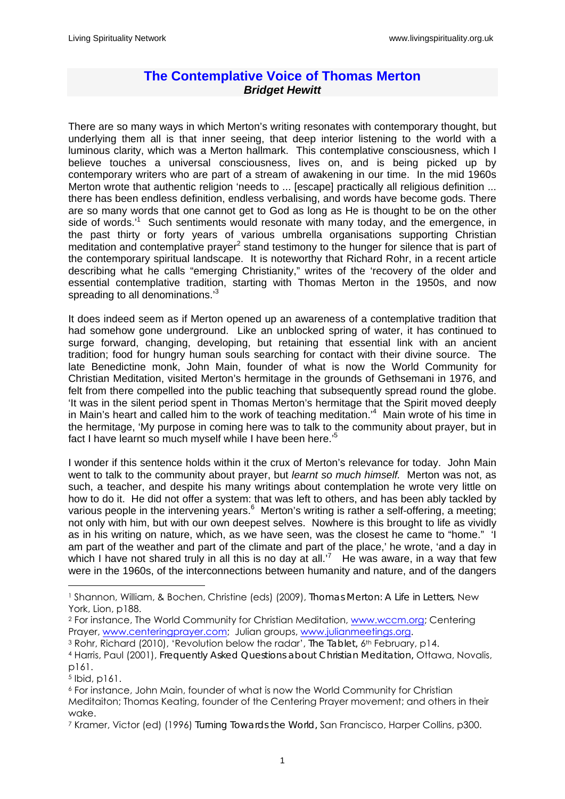## **The Contemplative Voice of Thomas Merton**  *Bridget Hewitt*

There are so many ways in which Merton's writing resonates with contemporary thought, but underlying them all is that inner seeing, that deep interior listening to the world with a luminous clarity, which was a Merton hallmark. This contemplative consciousness, which I believe touches a universal consciousness, lives on, and is being picked up by contemporary writers who are part of a stream of awakening in our time. In the mid 1960s Merton wrote that authentic religion 'needs to ... [escape] practically all religious definition ... there has been endless definition, endless verbalising, and words have become gods. There are so many words that one cannot get to God as long as He is thought to be on the other side of words.<sup>1</sup> Such sentiments would resonate with many today, and the emergence, in the past thirty or forty years of various umbrella organisations supporting Christian meditation and contemplative prayer<sup>2</sup> stand testimony to the hunger for silence that is part of the contemporary spiritual landscape. It is noteworthy that Richard Rohr, in a recent article describing what he calls "emerging Christianity," writes of the 'recovery of the older and essential contemplative tradition, starting with Thomas Merton in the 1950s, and now spreading to all denominations.<sup>3</sup>

It does indeed seem as if Merton opened up an awareness of a contemplative tradition that had somehow gone underground. Like an unblocked spring of water, it has continued to surge forward, changing, developing, but retaining that essential link with an ancient tradition; food for hungry human souls searching for contact with their divine source. The late Benedictine monk, John Main, founder of what is now the World Community for Christian Meditation, visited Merton's hermitage in the grounds of Gethsemani in 1976, and felt from there compelled into the public teaching that subsequently spread round the globe. 'It was in the silent period spent in Thomas Merton's hermitage that the Spirit moved deeply in Main's heart and called him to the work of teaching meditation.<sup>4</sup> Main wrote of his time in the hermitage, 'My purpose in coming here was to talk to the community about prayer, but in fact I have learnt so much myself while I have been here.'<sup>5</sup>

I wonder if this sentence holds within it the crux of Merton's relevance for today. John Main went to talk to the community about prayer, but *learnt so much himself.* Merton was not, as such, a teacher, and despite his many writings about contemplation he wrote very little on how to do it. He did not offer a system: that was left to others, and has been ably tackled by various people in the intervening years.<sup>6</sup> Merton's writing is rather a self-offering, a meeting; not only with him, but with our own deepest selves. Nowhere is this brought to life as vividly as in his writing on nature, which, as we have seen, was the closest he came to "home." 'I am part of the weather and part of the climate and part of the place,' he wrote, 'and a day in which I have not shared truly in all this is no day at all.<sup>7</sup> He was aware, in a way that few were in the 1960s, of the interconnections between humanity and nature, and of the dangers

<u>.</u>

<sup>1</sup> Shannon, William, & Bochen, Christine (eds) (2009), *Thomas Merton: A Life in Letters*, New York, Lion, p188.

<sup>2</sup> For instance, The World Community for Christian Meditation, www.wccm.org; Centering Prayer, www.centeringprayer.com; Julian groups, www.julianmeetings.org.<br><sup>3</sup> Rohr, Richard (2010), 'Revolution below the radar', *The Tablet*, 6<sup>th</sup> February, p14.

<sup>4</sup> Harris, Paul (2001), *Frequently Asked Questions about Christian Meditation,* Ottawa, Novalis, p161.

<sup>5</sup> Ibid, p161.

<sup>6</sup> For instance, John Main, founder of what is now the World Community for Christian Meditaiton; Thomas Keating, founder of the Centering Prayer movement; and others in their wake.

<sup>7</sup> Kramer, Victor (ed) (1996) *Turning Towards the World,* San Francisco, Harper Collins, p300.